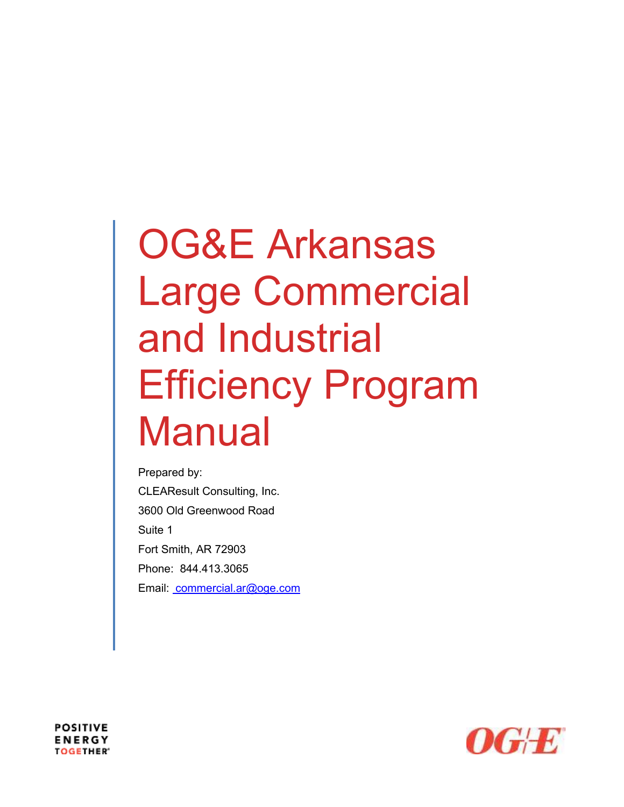# OG&E Arkansas Large Commercial and Industrial Efficiency Program Manual

Prepared by: CLEAResult Consulting, Inc. 3600 Old Greenwood Road Suite 1 Fort Smith, AR 72903 Phone: 844.413.3065 Email: commercial.ar@oge.com



**POSITIVE ENERGY TOGETHER®**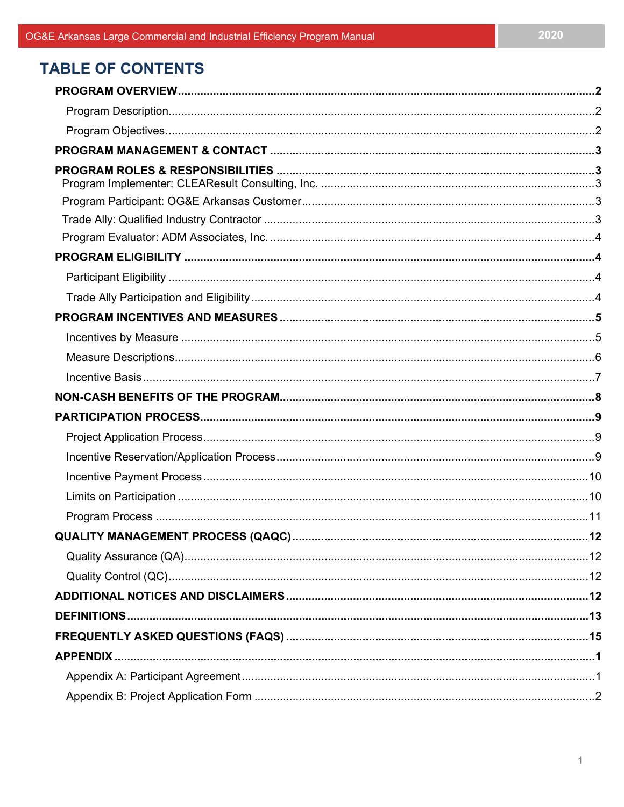# **TABLE OF CONTENTS**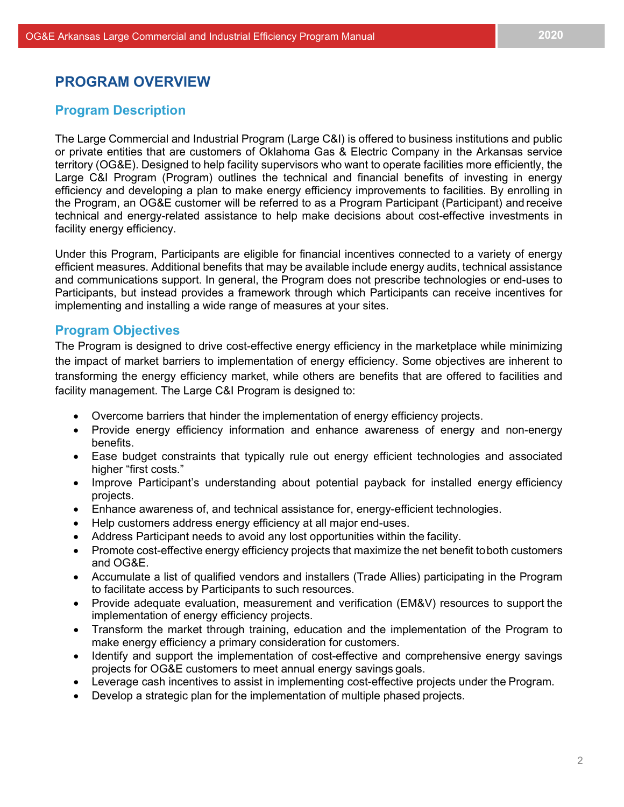## <span id="page-2-1"></span><span id="page-2-0"></span>**PROGRAM OVERVIEW**

## **Program Description**

The Large Commercial and Industrial Program (Large C&I) is offered to business institutions and public or private entities that are customers of Oklahoma Gas & Electric Company in the Arkansas service territory (OG&E). Designed to help facility supervisors who want to operate facilities more efficiently, the Large C&I Program (Program) outlines the technical and financial benefits of investing in energy efficiency and developing a plan to make energy efficiency improvements to facilities. By enrolling in the Program, an OG&E customer will be referred to as a Program Participant (Participant) and receive technical and energy-related assistance to help make decisions about cost-effective investments in facility energy efficiency.

Under this Program, Participants are eligible for financial incentives connected to a variety of energy efficient measures. Additional benefits that may be available include energy audits, technical assistance and communications support. In general, the Program does not prescribe technologies or end-uses to Participants, but instead provides a framework through which Participants can receive incentives for implementing and installing a wide range of measures at your sites.

## <span id="page-2-2"></span>**Program Objectives**

The Program is designed to drive cost-effective energy efficiency in the marketplace while minimizing the impact of market barriers to implementation of energy efficiency. Some objectives are inherent to transforming the energy efficiency market, while others are benefits that are offered to facilities and facility management. The Large C&I Program is designed to:

- Overcome barriers that hinder the implementation of energy efficiency projects.
- Provide energy efficiency information and enhance awareness of energy and non-energy benefits.
- Ease budget constraints that typically rule out energy efficient technologies and associated higher "first costs."
- Improve Participant's understanding about potential payback for installed energy efficiency projects.
- Enhance awareness of, and technical assistance for, energy-efficient technologies.
- Help customers address energy efficiency at all major end-uses.
- Address Participant needs to avoid any lost opportunities within the facility.
- Promote cost-effective energy efficiency projects that maximize the net benefit toboth customers and OG&E.
- Accumulate a list of qualified vendors and installers (Trade Allies) participating in the Program to facilitate access by Participants to such resources.
- Provide adequate evaluation, measurement and verification (EM&V) resources to support the implementation of energy efficiency projects.
- Transform the market through training, education and the implementation of the Program to make energy efficiency a primary consideration for customers.
- Identify and support the implementation of cost-effective and comprehensive energy savings projects for OG&E customers to meet annual energy savings goals.
- Leverage cash incentives to assist in implementing cost-effective projects under the Program.
- Develop a strategic plan for the implementation of multiple phased projects.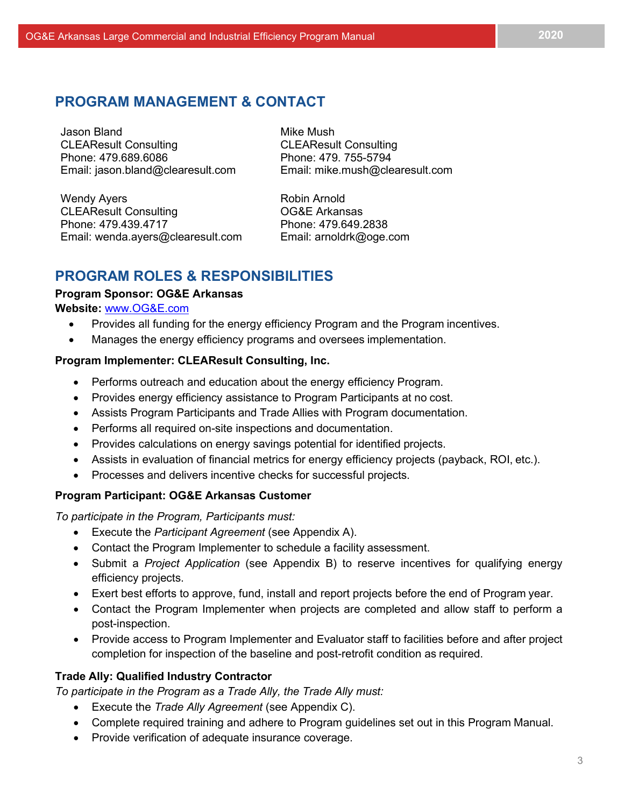## <span id="page-3-0"></span>**PROGRAM MANAGEMENT & CONTACT**

Jason Bland<br>CLEAResult Consulting CLEAResult Consulting **CLEAResult Consulting** Phone: 479.689.6086 Phone: 479. 755-5794 Email: [jason.bland@clearesult.com](mailto:jason.bland@clearesult.com) Email: [mike.mush@clearesult.com](mailto:mike.mush@clearesult.com)

Wendy Ayers **Robin Arnold** CLEAResult Consulting **CLEAResult Consulting** OG&E Arkansas Phone: 479.439.4717 Phone: 479.649.2838 Email: [wenda.ayers@clearesult.com](mailto:wenda.ayers@clearesult.com) Email: [arnoldrk@oge.com](mailto:arnoldrk@oge.com)

## <span id="page-3-1"></span>**PROGRAM ROLES & RESPONSIBILITIES**

#### **Program Sponsor: OG&E Arkansas**

#### **Website:** www.OG&E.com

- Provides all funding for the energy efficiency Program and the Program incentives.
- Manages the energy efficiency programs and oversees implementation.

#### <span id="page-3-2"></span>**Program Implementer: CLEAResult Consulting, Inc.**

- Performs outreach and education about the energy efficiency Program.
- Provides energy efficiency assistance to Program Participants at no cost.
- Assists Program Participants and Trade Allies with Program documentation.
- Performs all required on-site inspections and documentation.
- Provides calculations on energy savings potential for identified projects.
- Assists in evaluation of financial metrics for energy efficiency projects (payback, ROI, etc.).
- Processes and delivers incentive checks for successful projects.

## <span id="page-3-3"></span>**Program Participant: OG&E Arkansas Customer**

*To participate in the Program, Participants must:*

- Execute the *Participant Agreement* (see Appendix A).
- Contact the Program Implementer to schedule a facility assessment.
- Submit a *Project Application* (see Appendix B) to reserve incentives for qualifying energy efficiency projects.
- Exert best efforts to approve, fund, install and report projects before the end of Program year.
- Contact the Program Implementer when projects are completed and allow staff to perform a post-inspection.
- Provide access to Program Implementer and Evaluator staff to facilities before and after project completion for inspection of the baseline and post-retrofit condition as required.

## <span id="page-3-4"></span>**Trade Ally: Qualified Industry Contractor**

*To participate in the Program as a Trade Ally, the Trade Ally must:*

- Execute the *Trade Ally Agreement* (see Appendix C).
- Complete required training and adhere to Program guidelines set out in this Program Manual.
- Provide verification of adequate insurance coverage.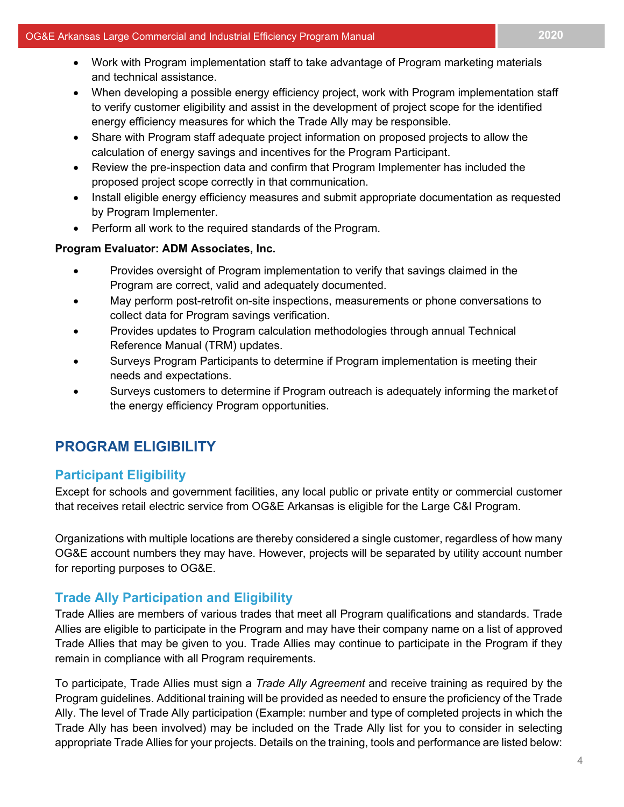- Work with Program implementation staff to take advantage of Program marketing materials and technical assistance.
- When developing a possible energy efficiency project, work with Program implementation staff to verify customer eligibility and assist in the development of project scope for the identified energy efficiency measures for which the Trade Ally may be responsible.
- Share with Program staff adequate project information on proposed projects to allow the calculation of energy savings and incentives for the Program Participant.
- Review the pre-inspection data and confirm that Program Implementer has included the proposed project scope correctly in that communication.
- Install eligible energy efficiency measures and submit appropriate documentation as requested by Program Implementer.
- Perform all work to the required standards of the Program.

#### <span id="page-4-0"></span>**Program Evaluator: ADM Associates, Inc.**

- Provides oversight of Program implementation to verify that savings claimed in the Program are correct, valid and adequately documented.
- May perform post-retrofit on-site inspections, measurements or phone conversations to collect data for Program savings verification.
- Provides updates to Program calculation methodologies through annual Technical Reference Manual (TRM) updates.
- Surveys Program Participants to determine if Program implementation is meeting their needs and expectations.
- Surveys customers to determine if Program outreach is adequately informing the market of the energy efficiency Program opportunities.

## <span id="page-4-1"></span>**PROGRAM ELIGIBILITY**

## <span id="page-4-2"></span>**Participant Eligibility**

Except for schools and government facilities, any local public or private entity or commercial customer that receives retail electric service from OG&E Arkansas is eligible for the Large C&I Program.

Organizations with multiple locations are thereby considered a single customer, regardless of how many OG&E account numbers they may have. However, projects will be separated by utility account number for reporting purposes to OG&E.

## <span id="page-4-3"></span>**Trade Ally Participation and Eligibility**

Trade Allies are members of various trades that meet all Program qualifications and standards. Trade Allies are eligible to participate in the Program and may have their company name on a list of approved Trade Allies that may be given to you. Trade Allies may continue to participate in the Program if they remain in compliance with all Program requirements.

To participate, Trade Allies must sign a *Trade Ally Agreement* and receive training as required by the Program guidelines. Additional training will be provided as needed to ensure the proficiency of the Trade Ally. The level of Trade Ally participation (Example: number and type of completed projects in which the Trade Ally has been involved) may be included on the Trade Ally list for you to consider in selecting appropriate Trade Allies for your projects. Details on the training, tools and performance are listed below: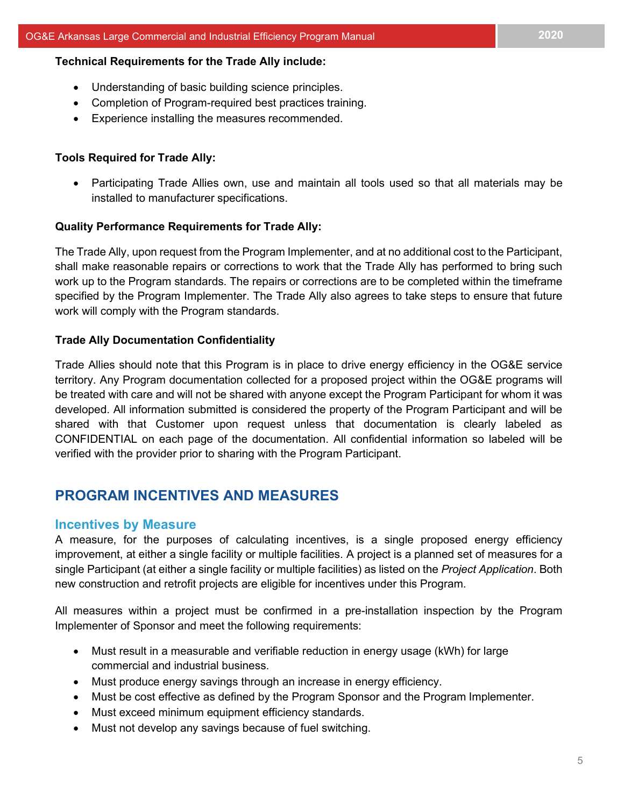#### **Technical Requirements for the Trade Ally include:**

- Understanding of basic building science principles.
- Completion of Program-required best practices training.
- Experience installing the measures recommended.

### **Tools Required for Trade Ally:**

• Participating Trade Allies own, use and maintain all tools used so that all materials may be installed to manufacturer specifications.

#### **Quality Performance Requirements for Trade Ally:**

The Trade Ally, upon request from the Program Implementer, and at no additional cost to the Participant, shall make reasonable repairs or corrections to work that the Trade Ally has performed to bring such work up to the Program standards. The repairs or corrections are to be completed within the timeframe specified by the Program Implementer. The Trade Ally also agrees to take steps to ensure that future work will comply with the Program standards.

#### **Trade Ally Documentation Confidentiality**

Trade Allies should note that this Program is in place to drive energy efficiency in the OG&E service territory. Any Program documentation collected for a proposed project within the OG&E programs will be treated with care and will not be shared with anyone except the Program Participant for whom it was developed. All information submitted is considered the property of the Program Participant and will be shared with that Customer upon request unless that documentation is clearly labeled as CONFIDENTIAL on each page of the documentation. All confidential information so labeled will be verified with the provider prior to sharing with the Program Participant.

## <span id="page-5-0"></span>**PROGRAM INCENTIVES AND MEASURES**

## <span id="page-5-1"></span>**Incentives by Measure**

A measure, for the purposes of calculating incentives, is a single proposed energy efficiency improvement, at either a single facility or multiple facilities. A project is a planned set of measures for a single Participant (at either a single facility or multiple facilities) as listed on the *Project Application*. Both new construction and retrofit projects are eligible for incentives under this Program.

All measures within a project must be confirmed in a pre-installation inspection by the Program Implementer of Sponsor and meet the following requirements:

- Must result in a measurable and verifiable reduction in energy usage (kWh) for large commercial and industrial business.
- Must produce energy savings through an increase in energy efficiency.
- Must be cost effective as defined by the Program Sponsor and the Program Implementer.
- Must exceed minimum equipment efficiency standards.
- Must not develop any savings because of fuel switching.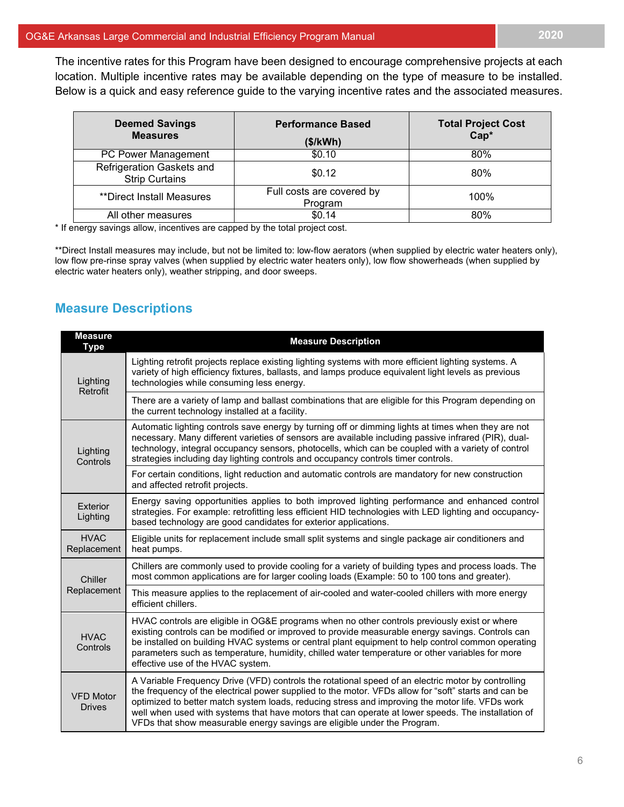The incentive rates for this Program have been designed to encourage comprehensive projects at each location. Multiple incentive rates may be available depending on the type of measure to be installed. Below is a quick and easy reference guide to the varying incentive rates and the associated measures.

| <b>Deemed Savings</b><br><b>Measures</b>           | <b>Performance Based</b><br>(\$/kWh) | <b>Total Project Cost</b><br>Cap* |
|----------------------------------------------------|--------------------------------------|-----------------------------------|
| PC Power Management                                | \$0.10                               | 80%                               |
| Refrigeration Gaskets and<br><b>Strip Curtains</b> | \$0.12                               | 80%                               |
| **Direct Install Measures                          | Full costs are covered by<br>Program | 100%                              |
| All other measures                                 | \$0.14                               | 80%                               |

\* If energy savings allow, incentives are capped by the total project cost.

\*\*Direct Install measures may include, but not be limited to: low-flow aerators (when supplied by electric water heaters only), low flow pre-rinse spray valves (when supplied by electric water heaters only), low flow showerheads (when supplied by electric water heaters only), weather stripping, and door sweeps.

## <span id="page-6-0"></span>**Measure Descriptions**

| <b>Measure</b><br><b>Type</b>     | <b>Measure Description</b>                                                                                                                                                                                                                                                                                                                                                                                                                                                                      |
|-----------------------------------|-------------------------------------------------------------------------------------------------------------------------------------------------------------------------------------------------------------------------------------------------------------------------------------------------------------------------------------------------------------------------------------------------------------------------------------------------------------------------------------------------|
| Lighting<br>Retrofit              | Lighting retrofit projects replace existing lighting systems with more efficient lighting systems. A<br>variety of high efficiency fixtures, ballasts, and lamps produce equivalent light levels as previous<br>technologies while consuming less energy.                                                                                                                                                                                                                                       |
|                                   | There are a variety of lamp and ballast combinations that are eligible for this Program depending on<br>the current technology installed at a facility.                                                                                                                                                                                                                                                                                                                                         |
| Lighting<br>Controls              | Automatic lighting controls save energy by turning off or dimming lights at times when they are not<br>necessary. Many different varieties of sensors are available including passive infrared (PIR), dual-<br>technology, integral occupancy sensors, photocells, which can be coupled with a variety of control<br>strategies including day lighting controls and occupancy controls timer controls.                                                                                          |
|                                   | For certain conditions, light reduction and automatic controls are mandatory for new construction<br>and affected retrofit projects.                                                                                                                                                                                                                                                                                                                                                            |
| Exterior<br>Lighting              | Energy saving opportunities applies to both improved lighting performance and enhanced control<br>strategies. For example: retrofitting less efficient HID technologies with LED lighting and occupancy-<br>based technology are good candidates for exterior applications.                                                                                                                                                                                                                     |
| <b>HVAC</b><br>Replacement        | Eligible units for replacement include small split systems and single package air conditioners and<br>heat pumps.                                                                                                                                                                                                                                                                                                                                                                               |
| Chiller                           | Chillers are commonly used to provide cooling for a variety of building types and process loads. The<br>most common applications are for larger cooling loads (Example: 50 to 100 tons and greater).                                                                                                                                                                                                                                                                                            |
| Replacement                       | This measure applies to the replacement of air-cooled and water-cooled chillers with more energy<br>efficient chillers.                                                                                                                                                                                                                                                                                                                                                                         |
| <b>HVAC</b><br>Controls           | HVAC controls are eligible in OG&E programs when no other controls previously exist or where<br>existing controls can be modified or improved to provide measurable energy savings. Controls can<br>be installed on building HVAC systems or central plant equipment to help control common operating<br>parameters such as temperature, humidity, chilled water temperature or other variables for more<br>effective use of the HVAC system.                                                   |
| <b>VFD Motor</b><br><b>Drives</b> | A Variable Frequency Drive (VFD) controls the rotational speed of an electric motor by controlling<br>the frequency of the electrical power supplied to the motor. VFDs allow for "soft" starts and can be<br>optimized to better match system loads, reducing stress and improving the motor life. VFDs work<br>well when used with systems that have motors that can operate at lower speeds. The installation of<br>VFDs that show measurable energy savings are eligible under the Program. |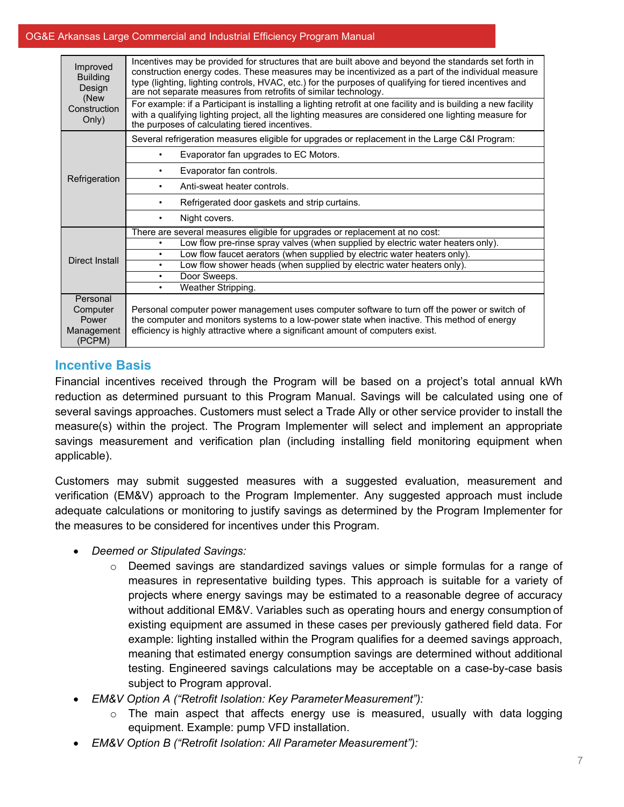#### OG&E Arkansas Large Commercial and Industrial Efficiency Program Manual

| Improved<br><b>Building</b><br>Design<br>(New<br>Construction<br>Only) | Incentives may be provided for structures that are built above and beyond the standards set forth in<br>construction energy codes. These measures may be incentivized as a part of the individual measure<br>type (lighting, lighting controls, HVAC, etc.) for the purposes of qualifying for tiered incentives and<br>are not separate measures from retrofits of similar technology.<br>For example: if a Participant is installing a lighting retrofit at one facility and is building a new facility<br>with a qualifying lighting project, all the lighting measures are considered one lighting measure for<br>the purposes of calculating tiered incentives. |
|------------------------------------------------------------------------|----------------------------------------------------------------------------------------------------------------------------------------------------------------------------------------------------------------------------------------------------------------------------------------------------------------------------------------------------------------------------------------------------------------------------------------------------------------------------------------------------------------------------------------------------------------------------------------------------------------------------------------------------------------------|
|                                                                        | Several refrigeration measures eligible for upgrades or replacement in the Large C&I Program:                                                                                                                                                                                                                                                                                                                                                                                                                                                                                                                                                                        |
|                                                                        | Evaporator fan upgrades to EC Motors.<br>٠                                                                                                                                                                                                                                                                                                                                                                                                                                                                                                                                                                                                                           |
|                                                                        | Evaporator fan controls.<br>٠                                                                                                                                                                                                                                                                                                                                                                                                                                                                                                                                                                                                                                        |
| Refrigeration                                                          | Anti-sweat heater controls.<br>٠                                                                                                                                                                                                                                                                                                                                                                                                                                                                                                                                                                                                                                     |
|                                                                        | Refrigerated door gaskets and strip curtains.<br>٠                                                                                                                                                                                                                                                                                                                                                                                                                                                                                                                                                                                                                   |
|                                                                        | Night covers.<br>$\bullet$                                                                                                                                                                                                                                                                                                                                                                                                                                                                                                                                                                                                                                           |
|                                                                        | There are several measures eligible for upgrades or replacement at no cost:                                                                                                                                                                                                                                                                                                                                                                                                                                                                                                                                                                                          |
|                                                                        | Low flow pre-rinse spray valves (when supplied by electric water heaters only).<br>$\bullet$                                                                                                                                                                                                                                                                                                                                                                                                                                                                                                                                                                         |
|                                                                        | Low flow faucet aerators (when supplied by electric water heaters only).<br>$\bullet$                                                                                                                                                                                                                                                                                                                                                                                                                                                                                                                                                                                |
| Direct Install                                                         | Low flow shower heads (when supplied by electric water heaters only).<br>$\bullet$                                                                                                                                                                                                                                                                                                                                                                                                                                                                                                                                                                                   |
|                                                                        | Door Sweeps.<br>٠                                                                                                                                                                                                                                                                                                                                                                                                                                                                                                                                                                                                                                                    |
|                                                                        | Weather Stripping.<br>$\bullet$                                                                                                                                                                                                                                                                                                                                                                                                                                                                                                                                                                                                                                      |
| Personal<br>Computer<br>Power<br>Management<br>(PCPM)                  | Personal computer power management uses computer software to turn off the power or switch of<br>the computer and monitors systems to a low-power state when inactive. This method of energy<br>efficiency is highly attractive where a significant amount of computers exist.                                                                                                                                                                                                                                                                                                                                                                                        |

## <span id="page-7-0"></span>**Incentive Basis**

Financial incentives received through the Program will be based on a project's total annual kWh reduction as determined pursuant to this Program Manual. Savings will be calculated using one of several savings approaches. Customers must select a Trade Ally or other service provider to install the measure(s) within the project. The Program Implementer will select and implement an appropriate savings measurement and verification plan (including installing field monitoring equipment when applicable).

Customers may submit suggested measures with a suggested evaluation, measurement and verification (EM&V) approach to the Program Implementer. Any suggested approach must include adequate calculations or monitoring to justify savings as determined by the Program Implementer for the measures to be considered for incentives under this Program.

- *Deemed or Stipulated Savings:*
	- o Deemed savings are standardized savings values or simple formulas for a range of measures in representative building types. This approach is suitable for a variety of projects where energy savings may be estimated to a reasonable degree of accuracy without additional EM&V. Variables such as operating hours and energy consumption of existing equipment are assumed in these cases per previously gathered field data. For example: lighting installed within the Program qualifies for a deemed savings approach, meaning that estimated energy consumption savings are determined without additional testing. Engineered savings calculations may be acceptable on a case-by-case basis subject to Program approval.
- *EM&V Option A ("Retrofit Isolation: Key ParameterMeasurement"):*
	- $\circ$  The main aspect that affects energy use is measured, usually with data logging equipment. Example: pump VFD installation.
- *EM&V Option B ("Retrofit Isolation: All Parameter Measurement"):*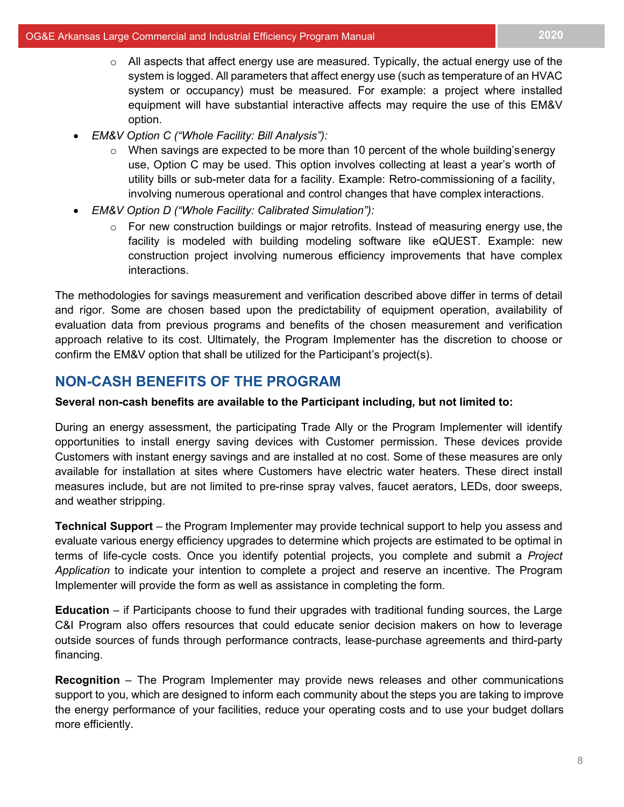- $\circ$  All aspects that affect energy use are measured. Typically, the actual energy use of the system is logged. All parameters that affect energy use (such as temperature of an HVAC system or occupancy) must be measured. For example: a project where installed equipment will have substantial interactive affects may require the use of this EM&V option.
- *EM&V Option C ("Whole Facility: Bill Analysis"):*
	- $\circ$  When savings are expected to be more than 10 percent of the whole building's energy use, Option C may be used. This option involves collecting at least a year's worth of utility bills or sub-meter data for a facility. Example: Retro-commissioning of a facility, involving numerous operational and control changes that have complex interactions.
- *EM&V Option D ("Whole Facility: Calibrated Simulation"):*
	- $\circ$  For new construction buildings or major retrofits. Instead of measuring energy use, the facility is modeled with building modeling software like eQUEST. Example: new construction project involving numerous efficiency improvements that have complex interactions.

The methodologies for savings measurement and verification described above differ in terms of detail and rigor. Some are chosen based upon the predictability of equipment operation, availability of evaluation data from previous programs and benefits of the chosen measurement and verification approach relative to its cost. Ultimately, the Program Implementer has the discretion to choose or confirm the EM&V option that shall be utilized for the Participant's project(s).

## <span id="page-8-0"></span>**NON-CASH BENEFITS OF THE PROGRAM**

## **Several non-cash benefits are available to the Participant including, but not limited to:**

During an energy assessment, the participating Trade Ally or the Program Implementer will identify opportunities to install energy saving devices with Customer permission. These devices provide Customers with instant energy savings and are installed at no cost. Some of these measures are only available for installation at sites where Customers have electric water heaters. These direct install measures include, but are not limited to pre-rinse spray valves, faucet aerators, LEDs, door sweeps, and weather stripping.

**Technical Support** – the Program Implementer may provide technical support to help you assess and evaluate various energy efficiency upgrades to determine which projects are estimated to be optimal in terms of life-cycle costs. Once you identify potential projects, you complete and submit a *Project Application* to indicate your intention to complete a project and reserve an incentive. The Program Implementer will provide the form as well as assistance in completing the form.

**Education** – if Participants choose to fund their upgrades with traditional funding sources, the Large C&I Program also offers resources that could educate senior decision makers on how to leverage outside sources of funds through performance contracts, lease-purchase agreements and third-party financing.

**Recognition** – The Program Implementer may provide news releases and other communications support to you, which are designed to inform each community about the steps you are taking to improve the energy performance of your facilities, reduce your operating costs and to use your budget dollars more efficiently.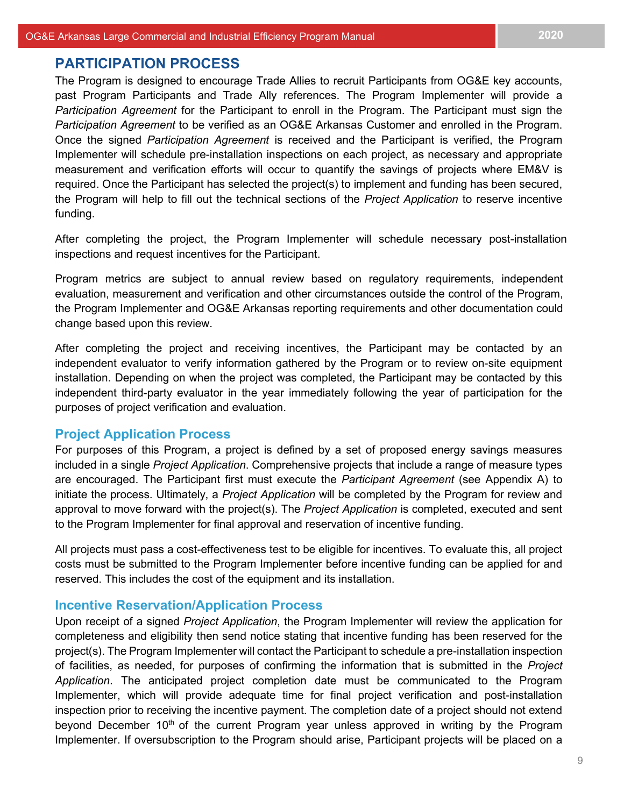## <span id="page-9-0"></span>**PARTICIPATION PROCESS**

The Program is designed to encourage Trade Allies to recruit Participants from OG&E key accounts, past Program Participants and Trade Ally references. The Program Implementer will provide a *Participation Agreement* for the Participant to enroll in the Program. The Participant must sign the *Participation Agreement* to be verified as an OG&E Arkansas Customer and enrolled in the Program. Once the signed *Participation Agreement* is received and the Participant is verified, the Program Implementer will schedule pre-installation inspections on each project, as necessary and appropriate measurement and verification efforts will occur to quantify the savings of projects where EM&V is required. Once the Participant has selected the project(s) to implement and funding has been secured, the Program will help to fill out the technical sections of the *Project Application* to reserve incentive funding.

After completing the project, the Program Implementer will schedule necessary post-installation inspections and request incentives for the Participant.

Program metrics are subject to annual review based on regulatory requirements, independent evaluation, measurement and verification and other circumstances outside the control of the Program, the Program Implementer and OG&E Arkansas reporting requirements and other documentation could change based upon this review.

After completing the project and receiving incentives, the Participant may be contacted by an independent evaluator to verify information gathered by the Program or to review on-site equipment installation. Depending on when the project was completed, the Participant may be contacted by this independent third-party evaluator in the year immediately following the year of participation for the purposes of project verification and evaluation.

#### <span id="page-9-1"></span>**Project Application Process**

For purposes of this Program, a project is defined by a set of proposed energy savings measures included in a single *Project Application*. Comprehensive projects that include a range of measure types are encouraged. The Participant first must execute the *Participant Agreement* (see Appendix A) to initiate the process. Ultimately, a *Project Application* will be completed by the Program for review and approval to move forward with the project(s). The *Project Application* is completed, executed and sent to the Program Implementer for final approval and reservation of incentive funding.

All projects must pass a cost-effectiveness test to be eligible for incentives. To evaluate this, all project costs must be submitted to the Program Implementer before incentive funding can be applied for and reserved. This includes the cost of the equipment and its installation.

### <span id="page-9-2"></span>**Incentive Reservation/Application Process**

Upon receipt of a signed *Project Application*, the Program Implementer will review the application for completeness and eligibility then send notice stating that incentive funding has been reserved for the project(s). The Program Implementer will contact the Participant to schedule a pre-installation inspection of facilities, as needed, for purposes of confirming the information that is submitted in the *Project Application*. The anticipated project completion date must be communicated to the Program Implementer, which will provide adequate time for final project verification and post-installation inspection prior to receiving the incentive payment. The completion date of a project should not extend beyond December  $10<sup>th</sup>$  of the current Program year unless approved in writing by the Program Implementer. If oversubscription to the Program should arise, Participant projects will be placed on a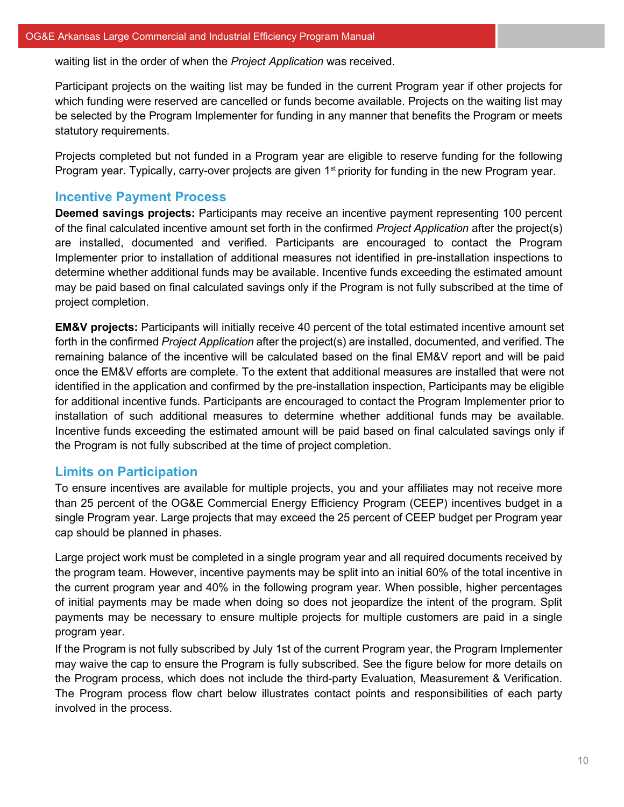waiting list in the order of when the *Project Application* was received.

Participant projects on the waiting list may be funded in the current Program year if other projects for which funding were reserved are cancelled or funds become available. Projects on the waiting list may be selected by the Program Implementer for funding in any manner that benefits the Program or meets statutory requirements.

Projects completed but not funded in a Program year are eligible to reserve funding for the following Program year. Typically, carry-over projects are given 1<sup>st</sup> priority for funding in the new Program year.

## <span id="page-10-0"></span>**Incentive Payment Process**

**Deemed savings projects:** Participants may receive an incentive payment representing 100 percent of the final calculated incentive amount set forth in the confirmed *Project Application* after the project(s) are installed, documented and verified. Participants are encouraged to contact the Program Implementer prior to installation of additional measures not identified in pre-installation inspections to determine whether additional funds may be available. Incentive funds exceeding the estimated amount may be paid based on final calculated savings only if the Program is not fully subscribed at the time of project completion.

**EM&V projects:** Participants will initially receive 40 percent of the total estimated incentive amount set forth in the confirmed *Project Application* after the project(s) are installed, documented, and verified. The remaining balance of the incentive will be calculated based on the final EM&V report and will be paid once the EM&V efforts are complete. To the extent that additional measures are installed that were not identified in the application and confirmed by the pre-installation inspection, Participants may be eligible for additional incentive funds. Participants are encouraged to contact the Program Implementer prior to installation of such additional measures to determine whether additional funds may be available. Incentive funds exceeding the estimated amount will be paid based on final calculated savings only if the Program is not fully subscribed at the time of project completion.

## <span id="page-10-1"></span>**Limits on Participation**

To ensure incentives are available for multiple projects, you and your affiliates may not receive more than 25 percent of the OG&E Commercial Energy Efficiency Program (CEEP) incentives budget in a single Program year. Large projects that may exceed the 25 percent of CEEP budget per Program year cap should be planned in phases.

Large project work must be completed in a single program year and all required documents received by the program team. However, incentive payments may be split into an initial 60% of the total incentive in the current program year and 40% in the following program year. When possible, higher percentages of initial payments may be made when doing so does not jeopardize the intent of the program. Split payments may be necessary to ensure multiple projects for multiple customers are paid in a single program year.

If the Program is not fully subscribed by July 1st of the current Program year, the Program Implementer may waive the cap to ensure the Program is fully subscribed. See the figure below for more details on the Program process, which does not include the third-party Evaluation, Measurement & Verification. The Program process flow chart below illustrates contact points and responsibilities of each party involved in the process.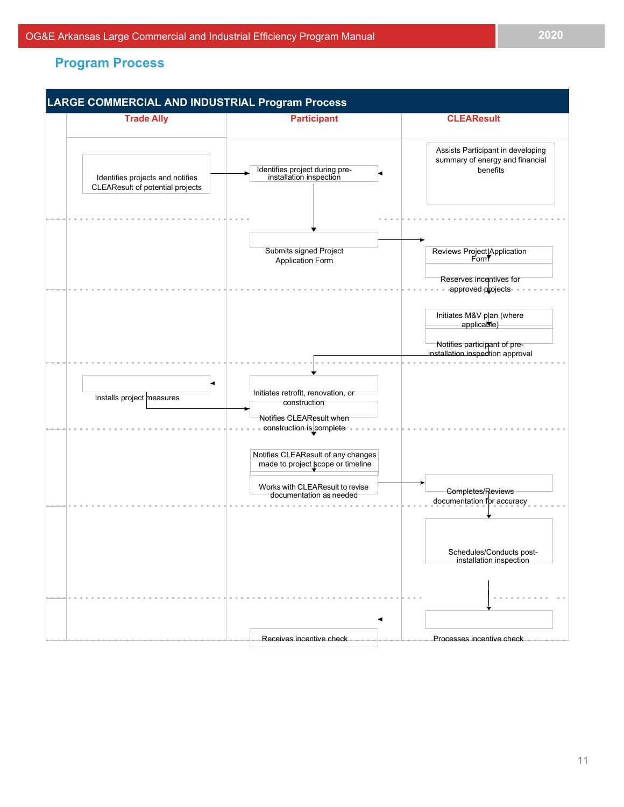## <span id="page-11-0"></span>**Program Process**

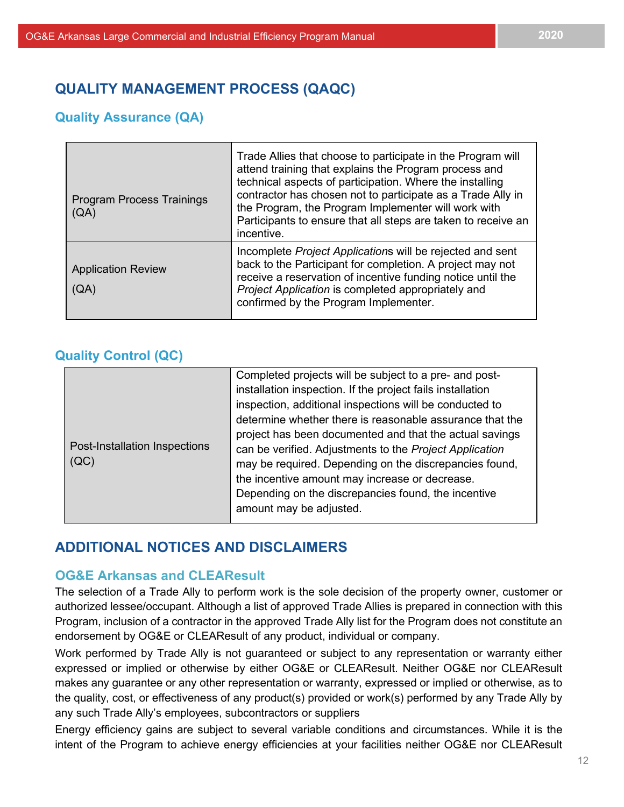## <span id="page-12-1"></span><span id="page-12-0"></span>**QUALITY MANAGEMENT PROCESS (QAQC)**

## **Quality Assurance (QA)**

| <b>Program Process Trainings</b><br>(QA) | Trade Allies that choose to participate in the Program will<br>attend training that explains the Program process and<br>technical aspects of participation. Where the installing<br>contractor has chosen not to participate as a Trade Ally in<br>the Program, the Program Implementer will work with<br>Participants to ensure that all steps are taken to receive an<br>incentive. |
|------------------------------------------|---------------------------------------------------------------------------------------------------------------------------------------------------------------------------------------------------------------------------------------------------------------------------------------------------------------------------------------------------------------------------------------|
| <b>Application Review</b><br>(QA)        | Incomplete Project Applications will be rejected and sent<br>back to the Participant for completion. A project may not<br>receive a reservation of incentive funding notice until the<br>Project Application is completed appropriately and<br>confirmed by the Program Implementer.                                                                                                  |

## <span id="page-12-2"></span>**Quality Control (QC)**

| Post-Installation Inspections<br>(QC) | Completed projects will be subject to a pre- and post-<br>installation inspection. If the project fails installation<br>inspection, additional inspections will be conducted to<br>determine whether there is reasonable assurance that the<br>project has been documented and that the actual savings<br>can be verified. Adjustments to the Project Application |
|---------------------------------------|-------------------------------------------------------------------------------------------------------------------------------------------------------------------------------------------------------------------------------------------------------------------------------------------------------------------------------------------------------------------|
|                                       | may be required. Depending on the discrepancies found,<br>the incentive amount may increase or decrease.<br>Depending on the discrepancies found, the incentive<br>amount may be adjusted.                                                                                                                                                                        |

## <span id="page-12-3"></span>**ADDITIONAL NOTICES AND DISCLAIMERS**

## **OG&E Arkansas and CLEAResult**

The selection of a Trade Ally to perform work is the sole decision of the property owner, customer or authorized lessee/occupant. Although a list of approved Trade Allies is prepared in connection with this Program, inclusion of a contractor in the approved Trade Ally list for the Program does not constitute an endorsement by OG&E or CLEAResult of any product, individual or company.

Work performed by Trade Ally is not guaranteed or subject to any representation or warranty either expressed or implied or otherwise by either OG&E or CLEAResult. Neither OG&E nor CLEAResult makes any guarantee or any other representation or warranty, expressed or implied or otherwise, as to the quality, cost, or effectiveness of any product(s) provided or work(s) performed by any Trade Ally by any such Trade Ally's employees, subcontractors or suppliers

Energy efficiency gains are subject to several variable conditions and circumstances. While it is the intent of the Program to achieve energy efficiencies at your facilities neither OG&E nor CLEAResult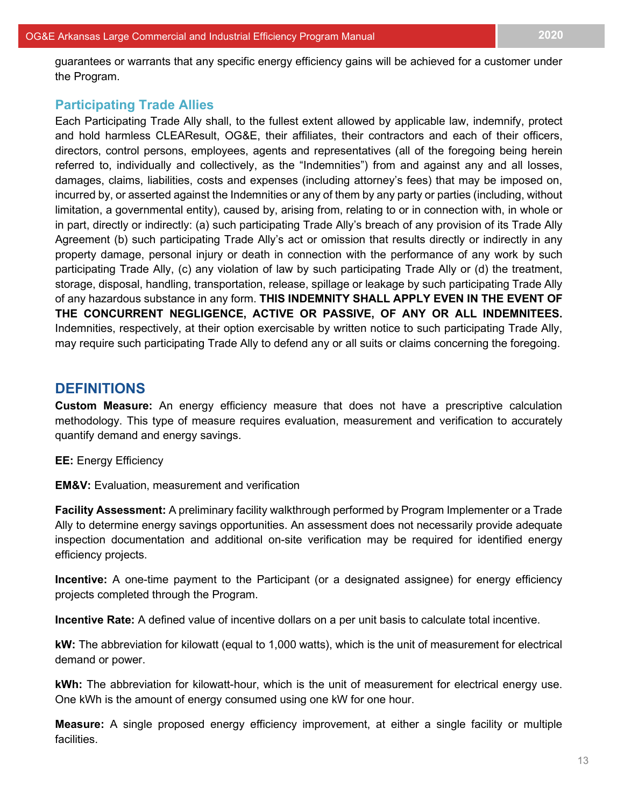guarantees or warrants that any specific energy efficiency gains will be achieved for a customer under the Program.

## **Participating Trade Allies**

Each Participating Trade Ally shall, to the fullest extent allowed by applicable law, indemnify, protect and hold harmless CLEAResult, OG&E, their affiliates, their contractors and each of their officers, directors, control persons, employees, agents and representatives (all of the foregoing being herein referred to, individually and collectively, as the "Indemnities") from and against any and all losses, damages, claims, liabilities, costs and expenses (including attorney's fees) that may be imposed on, incurred by, or asserted against the Indemnities or any of them by any party or parties (including, without limitation, a governmental entity), caused by, arising from, relating to or in connection with, in whole or in part, directly or indirectly: (a) such participating Trade Ally's breach of any provision of its Trade Ally Agreement (b) such participating Trade Ally's act or omission that results directly or indirectly in any property damage, personal injury or death in connection with the performance of any work by such participating Trade Ally, (c) any violation of law by such participating Trade Ally or (d) the treatment, storage, disposal, handling, transportation, release, spillage or leakage by such participating Trade Ally of any hazardous substance in any form. **THIS INDEMNITY SHALL APPLY EVEN IN THE EVENT OF THE CONCURRENT NEGLIGENCE, ACTIVE OR PASSIVE, OF ANY OR ALL INDEMNITEES.**  Indemnities, respectively, at their option exercisable by written notice to such participating Trade Ally, may require such participating Trade Ally to defend any or all suits or claims concerning the foregoing.

## <span id="page-13-0"></span>**DEFINITIONS**

**Custom Measure:** An energy efficiency measure that does not have a prescriptive calculation methodology. This type of measure requires evaluation, measurement and verification to accurately quantify demand and energy savings.

## **EE:** Energy Efficiency

**EM&V:** Evaluation, measurement and verification

**Facility Assessment:** A preliminary facility walkthrough performed by Program Implementer or a Trade Ally to determine energy savings opportunities. An assessment does not necessarily provide adequate inspection documentation and additional on-site verification may be required for identified energy efficiency projects.

**Incentive:** A one-time payment to the Participant (or a designated assignee) for energy efficiency projects completed through the Program.

**Incentive Rate:** A defined value of incentive dollars on a per unit basis to calculate total incentive.

**kW:** The abbreviation for kilowatt (equal to 1,000 watts), which is the unit of measurement for electrical demand or power.

**kWh:** The abbreviation for kilowatt-hour, which is the unit of measurement for electrical energy use. One kWh is the amount of energy consumed using one kW for one hour.

**Measure:** A single proposed energy efficiency improvement, at either a single facility or multiple facilities.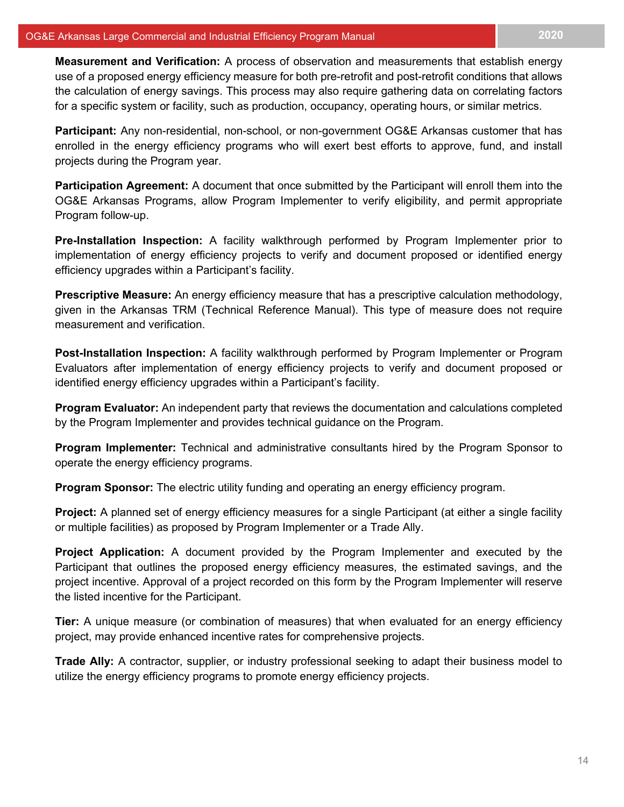**Measurement and Verification:** A process of observation and measurements that establish energy use of a proposed energy efficiency measure for both pre-retrofit and post-retrofit conditions that allows the calculation of energy savings. This process may also require gathering data on correlating factors for a specific system or facility, such as production, occupancy, operating hours, or similar metrics.

**Participant:** Any non-residential, non-school, or non-government OG&E Arkansas customer that has enrolled in the energy efficiency programs who will exert best efforts to approve, fund, and install projects during the Program year.

**Participation Agreement:** A document that once submitted by the Participant will enroll them into the OG&E Arkansas Programs, allow Program Implementer to verify eligibility, and permit appropriate Program follow-up.

**Pre-Installation Inspection:** A facility walkthrough performed by Program Implementer prior to implementation of energy efficiency projects to verify and document proposed or identified energy efficiency upgrades within a Participant's facility.

**Prescriptive Measure:** An energy efficiency measure that has a prescriptive calculation methodology, given in the Arkansas TRM (Technical Reference Manual). This type of measure does not require measurement and verification.

**Post-Installation Inspection:** A facility walkthrough performed by Program Implementer or Program Evaluators after implementation of energy efficiency projects to verify and document proposed or identified energy efficiency upgrades within a Participant's facility.

**Program Evaluator:** An independent party that reviews the documentation and calculations completed by the Program Implementer and provides technical guidance on the Program.

**Program Implementer:** Technical and administrative consultants hired by the Program Sponsor to operate the energy efficiency programs.

**Program Sponsor:** The electric utility funding and operating an energy efficiency program.

**Project:** A planned set of energy efficiency measures for a single Participant (at either a single facility or multiple facilities) as proposed by Program Implementer or a Trade Ally.

**Project Application:** A document provided by the Program Implementer and executed by the Participant that outlines the proposed energy efficiency measures, the estimated savings, and the project incentive. Approval of a project recorded on this form by the Program Implementer will reserve the listed incentive for the Participant.

**Tier:** A unique measure (or combination of measures) that when evaluated for an energy efficiency project, may provide enhanced incentive rates for comprehensive projects.

**Trade Ally:** A contractor, supplier, or industry professional seeking to adapt their business model to utilize the energy efficiency programs to promote energy efficiency projects.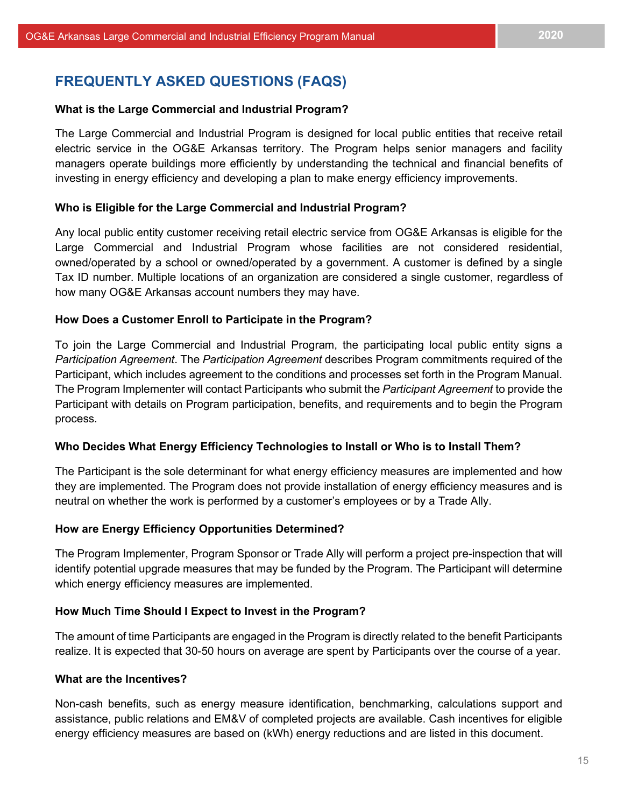## <span id="page-15-0"></span>**FREQUENTLY ASKED QUESTIONS (FAQS)**

#### **What is the Large Commercial and Industrial Program?**

The Large Commercial and Industrial Program is designed for local public entities that receive retail electric service in the OG&E Arkansas territory. The Program helps senior managers and facility managers operate buildings more efficiently by understanding the technical and financial benefits of investing in energy efficiency and developing a plan to make energy efficiency improvements.

#### **Who is Eligible for the Large Commercial and Industrial Program?**

Any local public entity customer receiving retail electric service from OG&E Arkansas is eligible for the Large Commercial and Industrial Program whose facilities are not considered residential, owned/operated by a school or owned/operated by a government. A customer is defined by a single Tax ID number. Multiple locations of an organization are considered a single customer, regardless of how many OG&E Arkansas account numbers they may have.

#### **How Does a Customer Enroll to Participate in the Program?**

To join the Large Commercial and Industrial Program, the participating local public entity signs a *Participation Agreement*. The *Participation Agreement* describes Program commitments required of the Participant, which includes agreement to the conditions and processes set forth in the Program Manual. The Program Implementer will contact Participants who submit the *Participant Agreement* to provide the Participant with details on Program participation, benefits, and requirements and to begin the Program process.

#### **Who Decides What Energy Efficiency Technologies to Install or Who is to Install Them?**

The Participant is the sole determinant for what energy efficiency measures are implemented and how they are implemented. The Program does not provide installation of energy efficiency measures and is neutral on whether the work is performed by a customer's employees or by a Trade Ally.

#### **How are Energy Efficiency Opportunities Determined?**

The Program Implementer, Program Sponsor or Trade Ally will perform a project pre-inspection that will identify potential upgrade measures that may be funded by the Program. The Participant will determine which energy efficiency measures are implemented.

#### **How Much Time Should I Expect to Invest in the Program?**

The amount of time Participants are engaged in the Program is directly related to the benefit Participants realize. It is expected that 30-50 hours on average are spent by Participants over the course of a year.

#### **What are the Incentives?**

Non-cash benefits, such as energy measure identification, benchmarking, calculations support and assistance, public relations and EM&V of completed projects are available. Cash incentives for eligible energy efficiency measures are based on (kWh) energy reductions and are listed in this document.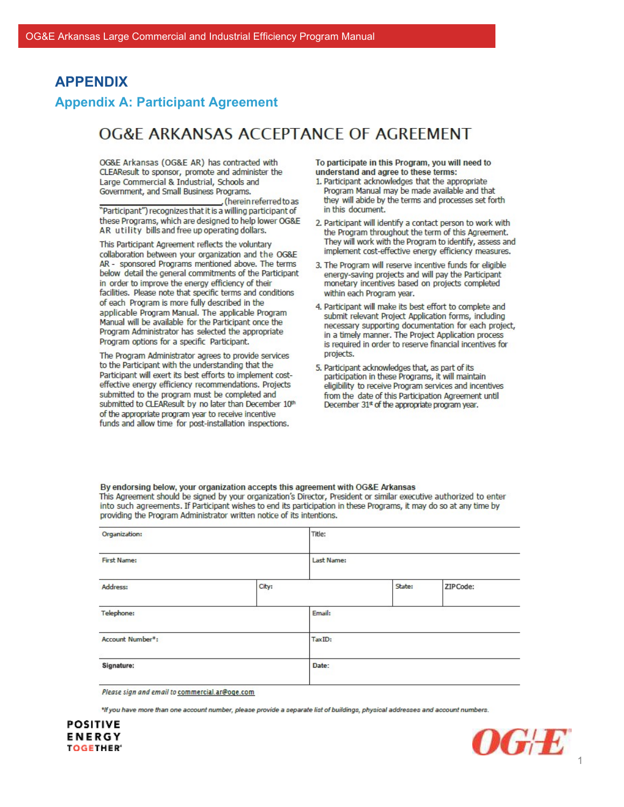## <span id="page-16-0"></span>**APPENDIX**

## <span id="page-16-1"></span>**Appendix A: Participant Agreement**

# OG&F ARKANSAS ACCEPTANCE OF AGREEMENT

OG&E Arkansas (OG&E AR) has contracted with CLEAResult to sponsor, promote and administer the Large Commercial & Industrial, Schools and Government, and Small Business Programs.

herein referred to as "Participant") recognizes that it is a willing participant of these Programs, which are designed to help lower OG&E AR utility bills and free up operating dollars.

This Participant Agreement reflects the voluntary collaboration between your organization and the OG&E AR - sponsored Programs mentioned above. The terms below detail the general commitments of the Participant in order to improve the energy efficiency of their facilities. Please note that specific terms and conditions of each Program is more fully described in the applicable Program Manual. The applicable Program Manual will be available for the Participant once the Program Administrator has selected the appropriate Program options for a specific Participant.

The Program Administrator agrees to provide services to the Participant with the understanding that the Participant will exert its best efforts to implement costeffective energy efficiency recommendations. Projects submitted to the program must be completed and submitted to CLEAResult by no later than December 10th of the appropriate program year to receive incentive funds and allow time for post-installation inspections.

To participate in this Program, you will need to understand and agree to these terms:

- 1. Participant acknowledges that the appropriate Program Manual may be made available and that they will abide by the terms and processes set forth in this document.
- 2. Participant will identify a contact person to work with the Program throughout the term of this Agreement. They will work with the Program to identify, assess and implement cost-effective energy efficiency measures.
- 3. The Program will reserve incentive funds for eligible energy-saving projects and will pay the Participant monetary incentives based on projects completed within each Program year.
- 4. Participant will make its best effort to complete and submit relevant Project Application forms, including necessary supporting documentation for each project, in a timely manner. The Project Application process is required in order to reserve financial incentives for projects.
- 5. Participant acknowledges that, as part of its participation in these Programs, it will maintain eligibility to receive Program services and incentives from the date of this Participation Agreement until December 31\* of the appropriate program year.

By endorsing below, your organization accepts this agreement with OG&E Arkansas This Agreement should be signed by your organization's Director, President or similar executive authorized to enter into such agreements. If Participant wishes to end its participation in these Programs, it may do so at any time by providing the Program Administrator written notice of its intentions.

| Organization:      |       | Title:     |        |          |  |
|--------------------|-------|------------|--------|----------|--|
| <b>First Name:</b> |       | Last Name: |        |          |  |
| Address:           | City: |            | State: | ZIPCode: |  |
| Telephone:         |       | Email:     |        |          |  |
| Account Number*:   |       | TaxID:     |        |          |  |
| Signature:         |       | Date:      |        |          |  |

Please sign and email to commercial.ar@oge.com

\*If you have more than one account number, please provide a separate list of buildings, physical addresses and account numbers.



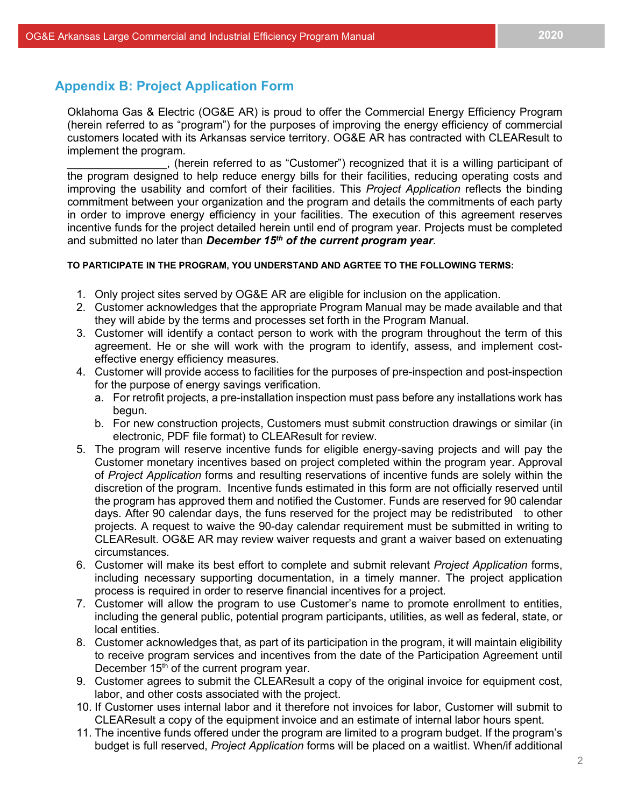## <span id="page-17-0"></span>**Appendix B: Project Application Form**

Oklahoma Gas & Electric (OG&E AR) is proud to offer the Commercial Energy Efficiency Program (herein referred to as "program") for the purposes of improving the energy efficiency of commercial customers located with its Arkansas service territory. OG&E AR has contracted with CLEAResult to implement the program.

\_\_\_\_\_\_\_\_\_\_\_\_\_\_\_\_, (herein referred to as "Customer") recognized that it is a willing participant of the program designed to help reduce energy bills for their facilities, reducing operating costs and improving the usability and comfort of their facilities. This *Project Application* reflects the binding commitment between your organization and the program and details the commitments of each party in order to improve energy efficiency in your facilities. The execution of this agreement reserves incentive funds for the project detailed herein until end of program year. Projects must be completed and submitted no later than *December 15th of the current program year*.

#### **TO PARTICIPATE IN THE PROGRAM, YOU UNDERSTAND AND AGRTEE TO THE FOLLOWING TERMS:**

- 1. Only project sites served by OG&E AR are eligible for inclusion on the application.
- 2. Customer acknowledges that the appropriate Program Manual may be made available and that they will abide by the terms and processes set forth in the Program Manual.
- 3. Customer will identify a contact person to work with the program throughout the term of this agreement. He or she will work with the program to identify, assess, and implement costeffective energy efficiency measures.
- 4. Customer will provide access to facilities for the purposes of pre-inspection and post-inspection for the purpose of energy savings verification.
	- a. For retrofit projects, a pre-installation inspection must pass before any installations work has begun.
	- b. For new construction projects, Customers must submit construction drawings or similar (in electronic, PDF file format) to CLEAResult for review.
- 5. The program will reserve incentive funds for eligible energy-saving projects and will pay the Customer monetary incentives based on project completed within the program year. Approval of *Project Application* forms and resulting reservations of incentive funds are solely within the discretion of the program. Incentive funds estimated in this form are not officially reserved until the program has approved them and notified the Customer. Funds are reserved for 90 calendar days. After 90 calendar days, the funs reserved for the project may be redistributed to other projects. A request to waive the 90-day calendar requirement must be submitted in writing to CLEAResult. OG&E AR may review waiver requests and grant a waiver based on extenuating circumstances.
- 6. Customer will make its best effort to complete and submit relevant *Project Application* forms, including necessary supporting documentation, in a timely manner. The project application process is required in order to reserve financial incentives for a project.
- 7. Customer will allow the program to use Customer's name to promote enrollment to entities, including the general public, potential program participants, utilities, as well as federal, state, or local entities.
- 8. Customer acknowledges that, as part of its participation in the program, it will maintain eligibility to receive program services and incentives from the date of the Participation Agreement until December 15<sup>th</sup> of the current program year.
- 9. Customer agrees to submit the CLEAResult a copy of the original invoice for equipment cost, labor, and other costs associated with the project.
- 10. If Customer uses internal labor and it therefore not invoices for labor, Customer will submit to CLEAResult a copy of the equipment invoice and an estimate of internal labor hours spent.
- 11. The incentive funds offered under the program are limited to a program budget. If the program's budget is full reserved, *Project Application* forms will be placed on a waitlist. When/if additional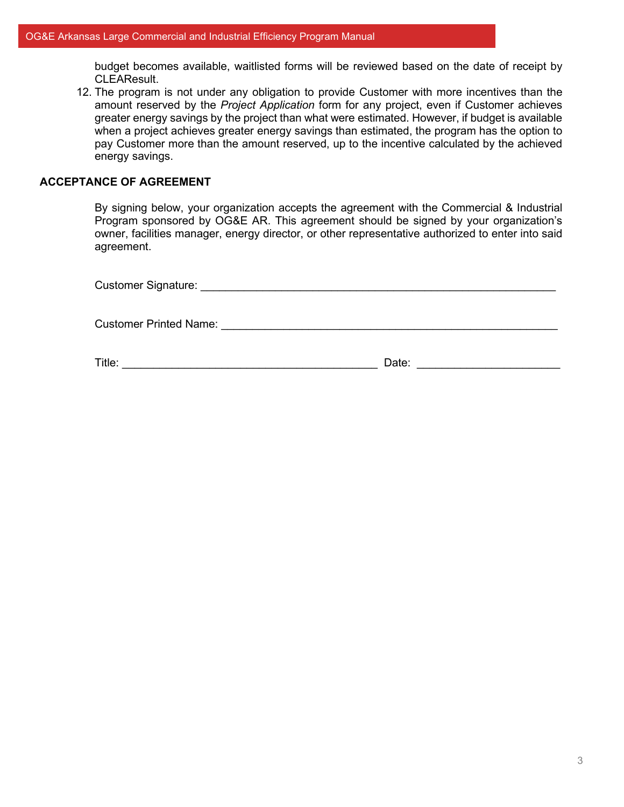budget becomes available, waitlisted forms will be reviewed based on the date of receipt by CLEAResult.

12. The program is not under any obligation to provide Customer with more incentives than the amount reserved by the *Project Application* form for any project, even if Customer achieves greater energy savings by the project than what were estimated. However, if budget is available when a project achieves greater energy savings than estimated, the program has the option to pay Customer more than the amount reserved, up to the incentive calculated by the achieved energy savings.

## **ACCEPTANCE OF AGREEMENT**

By signing below, your organization accepts the agreement with the Commercial & Industrial Program sponsored by OG&E AR. This agreement should be signed by your organization's owner, facilities manager, energy director, or other representative authorized to enter into said agreement.

| <b>Customer Printed Name:</b> |  |
|-------------------------------|--|

Title: \_\_\_\_\_\_\_\_\_\_\_\_\_\_\_\_\_\_\_\_\_\_\_\_\_\_\_\_\_\_\_\_\_\_\_\_\_\_\_\_\_ Date: \_\_\_\_\_\_\_\_\_\_\_\_\_\_\_\_\_\_\_\_\_\_\_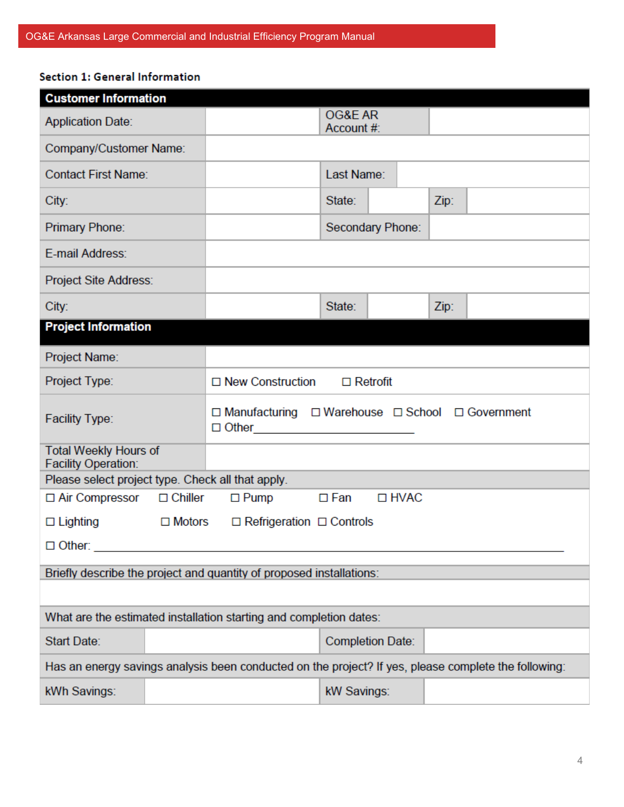## Section 1: General Information

| <b>Customer Information</b>                                |                                                       |                                                                                                      |                       |                         |      |  |
|------------------------------------------------------------|-------------------------------------------------------|------------------------------------------------------------------------------------------------------|-----------------------|-------------------------|------|--|
| <b>Application Date:</b>                                   |                                                       |                                                                                                      | OG&E AR<br>Account #: |                         |      |  |
| Company/Customer Name:                                     |                                                       |                                                                                                      |                       |                         |      |  |
| <b>Contact First Name:</b>                                 |                                                       |                                                                                                      | Last Name:            |                         |      |  |
| City:                                                      |                                                       |                                                                                                      | State:<br>Zip:        |                         |      |  |
| Primary Phone:                                             |                                                       |                                                                                                      |                       | Secondary Phone:        |      |  |
| E-mail Address:                                            |                                                       |                                                                                                      |                       |                         |      |  |
| Project Site Address:                                      |                                                       |                                                                                                      |                       |                         |      |  |
| City:                                                      |                                                       |                                                                                                      | State:                |                         | Zip: |  |
| <b>Project Information</b>                                 |                                                       |                                                                                                      |                       |                         |      |  |
| Project Name:                                              |                                                       |                                                                                                      |                       |                         |      |  |
| Project Type:                                              |                                                       | $\Box$ New Construction<br>$\Box$ Retrofit                                                           |                       |                         |      |  |
| <b>Facility Type:</b>                                      |                                                       | □ Manufacturing □ Warehouse □ School □ Government<br>$\Box$ $\Box$ $\Box$ $\Box$                     |                       |                         |      |  |
| <b>Total Weekly Hours of</b><br><b>Facility Operation:</b> |                                                       |                                                                                                      |                       |                         |      |  |
| Please select project type. Check all that apply.          |                                                       |                                                                                                      |                       |                         |      |  |
| $\Box$ Air Compressor                                      | $\Box$ Chiller                                        | $\Box$ Pump                                                                                          | $\Box$ Fan            | □ HVAC                  |      |  |
| $\Box$ Lighting                                            | $\Box$ Refrigeration $\Box$ Controls<br>$\Box$ Motors |                                                                                                      |                       |                         |      |  |
| $\Box$ Other:                                              |                                                       |                                                                                                      |                       |                         |      |  |
|                                                            |                                                       | Briefly describe the project and quantity of proposed installations:                                 |                       |                         |      |  |
|                                                            |                                                       |                                                                                                      |                       |                         |      |  |
|                                                            |                                                       | What are the estimated installation starting and completion dates:                                   |                       |                         |      |  |
| Start Date:                                                |                                                       |                                                                                                      |                       | <b>Completion Date:</b> |      |  |
|                                                            |                                                       | Has an energy savings analysis been conducted on the project? If yes, please complete the following: |                       |                         |      |  |
| kWh Savings:                                               |                                                       |                                                                                                      | kW Savings:           |                         |      |  |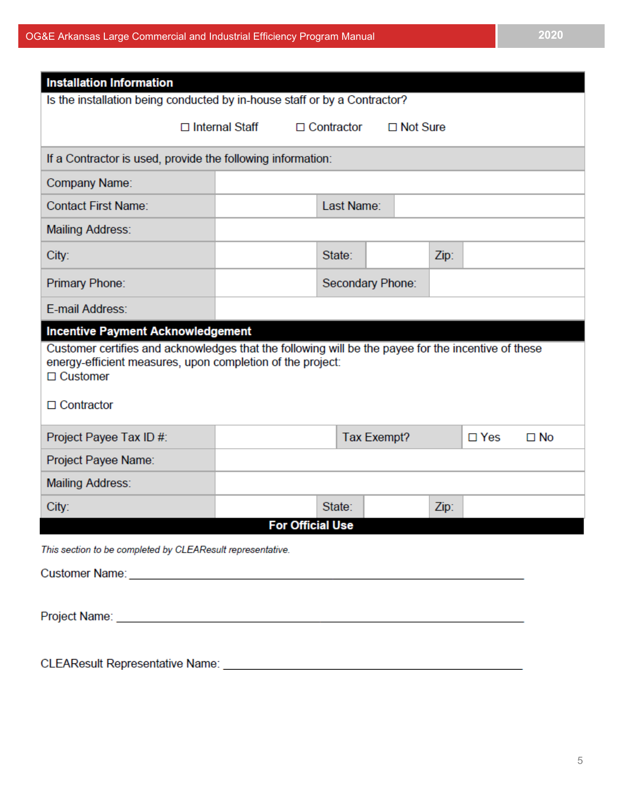| <b>Installation Information</b>                                                                    |                       |                   |                    |      |            |              |
|----------------------------------------------------------------------------------------------------|-----------------------|-------------------|--------------------|------|------------|--------------|
| Is the installation being conducted by in-house staff or by a Contractor?                          |                       |                   |                    |      |            |              |
|                                                                                                    | $\Box$ Internal Staff | $\Box$ Contractor | $\Box$ Not Sure    |      |            |              |
| If a Contractor is used, provide the following information:                                        |                       |                   |                    |      |            |              |
| Company Name:                                                                                      |                       |                   |                    |      |            |              |
| <b>Contact First Name:</b>                                                                         |                       | Last Name:        |                    |      |            |              |
| <b>Mailing Address:</b>                                                                            |                       |                   |                    |      |            |              |
| City:                                                                                              |                       | State:            |                    | Zip: |            |              |
| Primary Phone:                                                                                     |                       |                   | Secondary Phone:   |      |            |              |
| E-mail Address:                                                                                    |                       |                   |                    |      |            |              |
| energy-efficient measures, upon completion of the project:<br>$\Box$ Customer<br>$\Box$ Contractor |                       |                   |                    |      |            |              |
| Project Payee Tax ID #:                                                                            |                       |                   | <b>Tax Exempt?</b> |      | $\Box$ Yes | $\square$ No |
| Project Payee Name:                                                                                |                       |                   |                    |      |            |              |
| <b>Mailing Address:</b>                                                                            |                       |                   |                    |      |            |              |
| City:                                                                                              |                       | State:            |                    | Zip: |            |              |
| <b>For Official Use</b><br>This section to be completed by CLEAResult representative.              |                       |                   |                    |      |            |              |
|                                                                                                    |                       |                   |                    |      |            |              |
|                                                                                                    |                       |                   |                    |      |            |              |
|                                                                                                    |                       |                   |                    |      |            |              |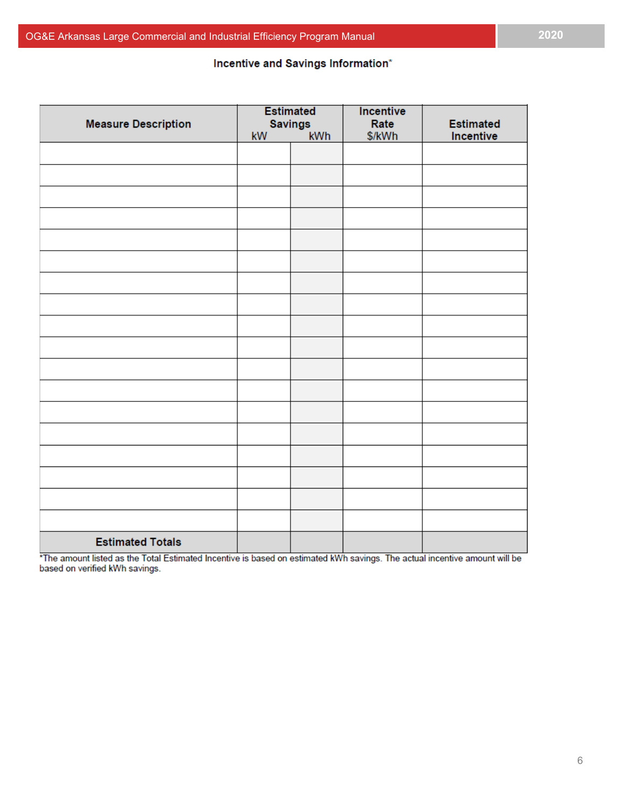## Incentive and Savings Information\*

|                            | <b>Estimated</b> |                       | Incentive      |                               |  |
|----------------------------|------------------|-----------------------|----------------|-------------------------------|--|
| <b>Measure Description</b> | kW               | <b>Savings</b><br>kWh | Rate<br>\$/kWh | <b>Estimated</b><br>Incentive |  |
|                            |                  |                       |                |                               |  |
|                            |                  |                       |                |                               |  |
|                            |                  |                       |                |                               |  |
|                            |                  |                       |                |                               |  |
|                            |                  |                       |                |                               |  |
|                            |                  |                       |                |                               |  |
|                            |                  |                       |                |                               |  |
|                            |                  |                       |                |                               |  |
|                            |                  |                       |                |                               |  |
|                            |                  |                       |                |                               |  |
|                            |                  |                       |                |                               |  |
|                            |                  |                       |                |                               |  |
|                            |                  |                       |                |                               |  |
|                            |                  |                       |                |                               |  |
|                            |                  |                       |                |                               |  |
|                            |                  |                       |                |                               |  |
|                            |                  |                       |                |                               |  |
|                            |                  |                       |                |                               |  |
|                            |                  |                       |                |                               |  |
| <b>Estimated Totals</b>    |                  |                       |                |                               |  |

\*The amount listed as the Total Estimated Incentive is based on estimated kWh savings. The actual incentive amount will be based on verified kWh savings.